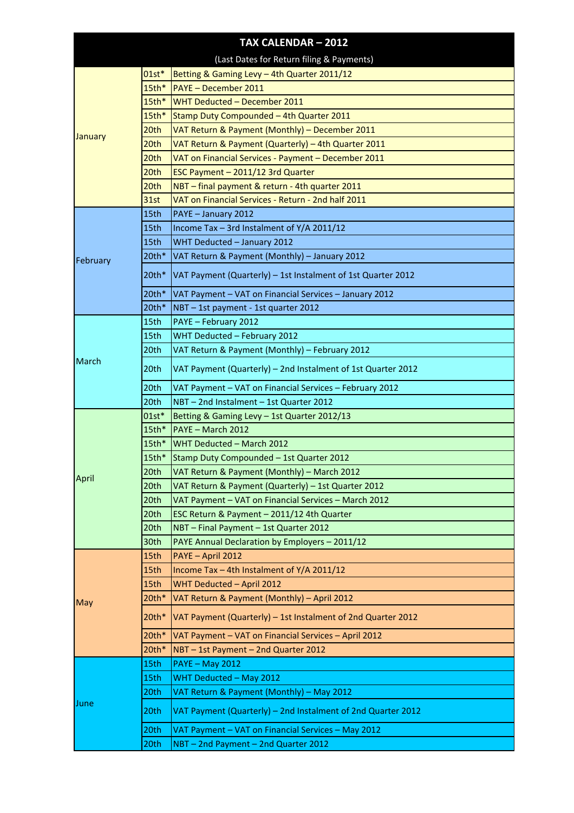|                |             | TAX CALENDAR - 2012                                          |
|----------------|-------------|--------------------------------------------------------------|
|                |             | (Last Dates for Return filing & Payments)                    |
|                | $01st*$     | Betting & Gaming Levy - 4th Quarter 2011/12                  |
|                | $15th*$     | <b>PAYE - December 2011</b>                                  |
|                | $15th*$     | WHT Deducted - December 2011                                 |
|                | $15th*$     | Stamp Duty Compounded - 4th Quarter 2011                     |
|                | 20th        | VAT Return & Payment (Monthly) - December 2011               |
| <b>January</b> | 20th        | VAT Return & Payment (Quarterly) - 4th Quarter 2011          |
|                | 20th        | VAT on Financial Services - Payment - December 2011          |
|                | 20th        | ESC Payment - 2011/12 3rd Quarter                            |
|                | 20th        | NBT - final payment & return - 4th quarter 2011              |
|                | <b>31st</b> | VAT on Financial Services - Return - 2nd half 2011           |
| February       | 15th        | PAYE - January 2012                                          |
|                | 15th        | Income Tax - 3rd Instalment of Y/A 2011/12                   |
|                | 15th        | WHT Deducted - January 2012                                  |
|                | $20th*$     | VAT Return & Payment (Monthly) - January 2012                |
|                | 20th*       | VAT Payment (Quarterly) - 1st Instalment of 1st Quarter 2012 |
|                | $20th*$     | VAT Payment - VAT on Financial Services - January 2012       |
|                | $20th*$     | NBT - 1st payment - 1st quarter 2012                         |
|                | 15th        | PAYE - February 2012                                         |
|                | 15th        | WHT Deducted - February 2012                                 |
|                | 20th        | VAT Return & Payment (Monthly) - February 2012               |
| March          | 20th        | VAT Payment (Quarterly) - 2nd Instalment of 1st Quarter 2012 |
|                | 20th        | VAT Payment - VAT on Financial Services - February 2012      |
|                | 20th        | NBT - 2nd Instalment - 1st Quarter 2012                      |
|                | $01st*$     | Betting & Gaming Levy - 1st Quarter 2012/13                  |
|                | $15th*$     | PAYE - March 2012                                            |
|                |             | 15th* WHT Deducted - March 2012                              |
|                | $15th*$     | Stamp Duty Compounded - 1st Quarter 2012                     |
| <b>April</b>   | 20th        | VAT Return & Payment (Monthly) - March 2012                  |
|                | 20th        | VAT Return & Payment (Quarterly) - 1st Quarter 2012          |
|                | 20th        | VAT Payment - VAT on Financial Services - March 2012         |
|                | 20th        | ESC Return & Payment - 2011/12 4th Quarter                   |
|                | 20th        | NBT - Final Payment - 1st Quarter 2012                       |
|                | 30th        | PAYE Annual Declaration by Employers - 2011/12               |
|                | 15th        | PAYE - April 2012                                            |
|                | 15th        | Income Tax - 4th Instalment of Y/A 2011/12                   |
|                | 15th        | WHT Deducted - April 2012                                    |
| May            | $20th*$     | VAT Return & Payment (Monthly) - April 2012                  |
|                | 20th*       | VAT Payment (Quarterly) - 1st Instalment of 2nd Quarter 2012 |
|                | 20th*       | VAT Payment - VAT on Financial Services - April 2012         |
|                | 20th*       | NBT - 1st Payment - 2nd Quarter 2012                         |
|                | 15th        | <b>PAYE - May 2012</b>                                       |
|                | 15th        | WHT Deducted - May 2012                                      |
| June           | 20th        | VAT Return & Payment (Monthly) - May 2012                    |
|                | 20th        | VAT Payment (Quarterly) - 2nd Instalment of 2nd Quarter 2012 |
|                | 20th        | VAT Payment - VAT on Financial Services - May 2012           |
|                | 20th        | NBT - 2nd Payment - 2nd Quarter 2012                         |